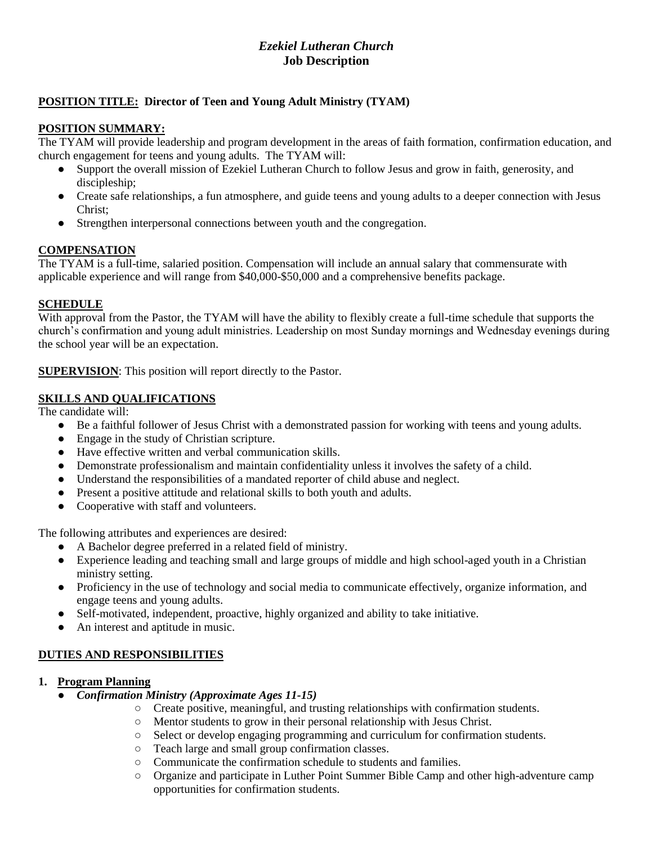# *Ezekiel Lutheran Church* **Job Description**

# **POSITION TITLE: Director of Teen and Young Adult Ministry (TYAM)**

# **POSITION SUMMARY:**

The TYAM will provide leadership and program development in the areas of faith formation, confirmation education, and church engagement for teens and young adults. The TYAM will:

- Support the overall mission of Ezekiel Lutheran Church to follow Jesus and grow in faith, generosity, and discipleship;
- Create safe relationships, a fun atmosphere, and guide teens and young adults to a deeper connection with Jesus Christ;
- Strengthen interpersonal connections between youth and the congregation.

## **COMPENSATION**

The TYAM is a full-time, salaried position. Compensation will include an annual salary that commensurate with applicable experience and will range from \$40,000-\$50,000 and a comprehensive benefits package.

# **SCHEDULE**

With approval from the Pastor, the TYAM will have the ability to flexibly create a full-time schedule that supports the church's confirmation and young adult ministries. Leadership on most Sunday mornings and Wednesday evenings during the school year will be an expectation.

**SUPERVISION**: This position will report directly to the Pastor.

# **SKILLS AND QUALIFICATIONS**

The candidate will:

- Be a faithful follower of Jesus Christ with a demonstrated passion for working with teens and young adults.
- Engage in the study of Christian scripture.
- Have effective written and verbal communication skills.
- Demonstrate professionalism and maintain confidentiality unless it involves the safety of a child.
- Understand the responsibilities of a mandated reporter of child abuse and neglect.
- Present a positive attitude and relational skills to both youth and adults.
- Cooperative with staff and volunteers.

The following attributes and experiences are desired:

- A Bachelor degree preferred in a related field of ministry.
- Experience leading and teaching small and large groups of middle and high school-aged youth in a Christian ministry setting.
- Proficiency in the use of technology and social media to communicate effectively, organize information, and engage teens and young adults.
- Self-motivated, independent, proactive, highly organized and ability to take initiative.
- An interest and aptitude in music.

# **DUTIES AND RESPONSIBILITIES**

## **1. Program Planning**

- *Confirmation Ministry (Approximate Ages 11-15)*
	- Create positive, meaningful, and trusting relationships with confirmation students.
	- Mentor students to grow in their personal relationship with Jesus Christ.
	- Select or develop engaging programming and curriculum for confirmation students.
	- Teach large and small group confirmation classes.
	- Communicate the confirmation schedule to students and families.
	- Organize and participate in Luther Point Summer Bible Camp and other high-adventure camp opportunities for confirmation students.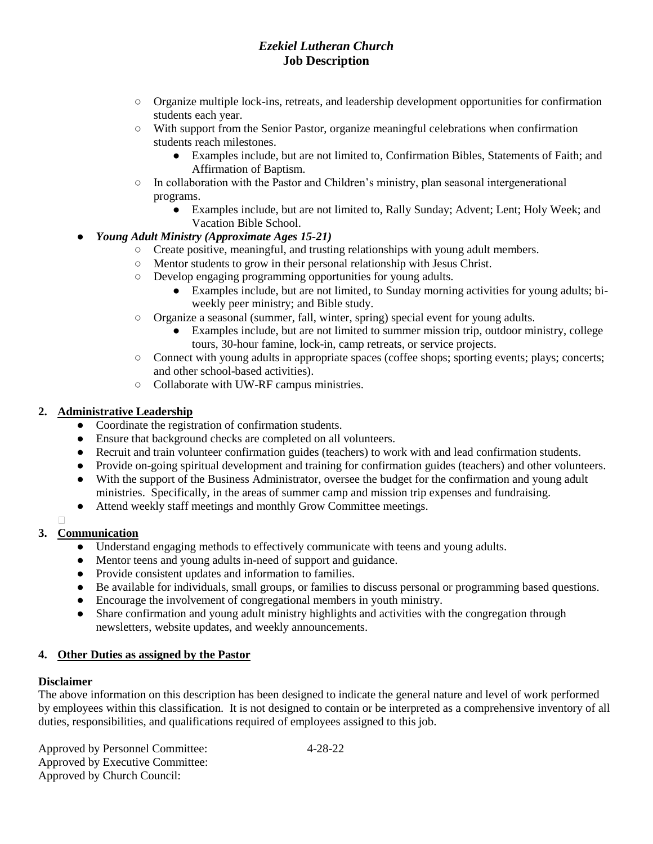# *Ezekiel Lutheran Church* **Job Description**

- Organize multiple lock-ins, retreats, and leadership development opportunities for confirmation students each year.
- With support from the Senior Pastor, organize meaningful celebrations when confirmation students reach milestones.
	- Examples include, but are not limited to, Confirmation Bibles, Statements of Faith; and Affirmation of Baptism.
- In collaboration with the Pastor and Children's ministry, plan seasonal intergenerational programs.
	- Examples include, but are not limited to, Rally Sunday; Advent; Lent; Holy Week; and Vacation Bible School.

# ● *Young Adult Ministry (Approximate Ages 15-21)*

- Create positive, meaningful, and trusting relationships with young adult members.
- Mentor students to grow in their personal relationship with Jesus Christ.
- Develop engaging programming opportunities for young adults.
	- Examples include, but are not limited, to Sunday morning activities for young adults; biweekly peer ministry; and Bible study.
- Organize a seasonal (summer, fall, winter, spring) special event for young adults.
	- Examples include, but are not limited to summer mission trip, outdoor ministry, college tours, 30-hour famine, lock-in, camp retreats, or service projects.
- Connect with young adults in appropriate spaces (coffee shops; sporting events; plays; concerts; and other school-based activities).
- Collaborate with UW-RF campus ministries.

# **2. Administrative Leadership**

- Coordinate the registration of confirmation students.
- Ensure that background checks are completed on all volunteers.
- Recruit and train volunteer confirmation guides (teachers) to work with and lead confirmation students.
- Provide on-going spiritual development and training for confirmation guides (teachers) and other volunteers.
- With the support of the Business Administrator, oversee the budget for the confirmation and young adult ministries. Specifically, in the areas of summer camp and mission trip expenses and fundraising.
- Attend weekly staff meetings and monthly Grow Committee meetings.

# **3. Communication**

- Understand engaging methods to effectively communicate with teens and young adults.
- Mentor teens and young adults in-need of support and guidance.
- Provide consistent updates and information to families.
- Be available for individuals, small groups, or families to discuss personal or programming based questions.
- Encourage the involvement of congregational members in youth ministry.
- Share confirmation and young adult ministry highlights and activities with the congregation through newsletters, website updates, and weekly announcements.

## **4. Other Duties as assigned by the Pastor**

## **Disclaimer**

The above information on this description has been designed to indicate the general nature and level of work performed by employees within this classification. It is not designed to contain or be interpreted as a comprehensive inventory of all duties, responsibilities, and qualifications required of employees assigned to this job.

Approved by Personnel Committee: 4-28-22 Approved by Executive Committee: Approved by Church Council: